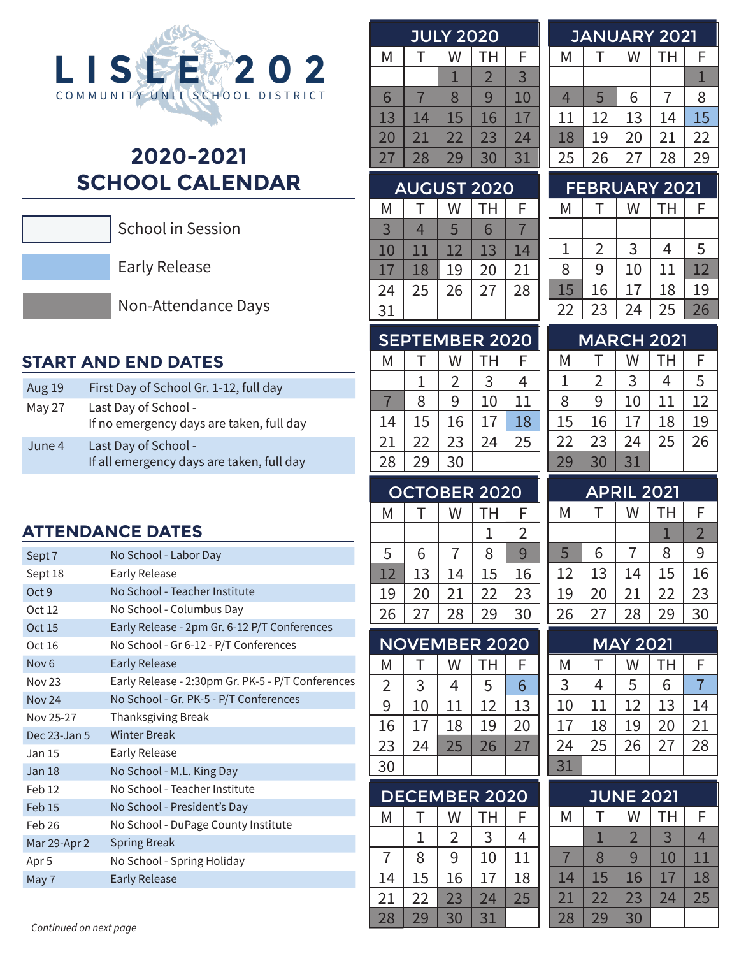

# **2020-2021 SCHOOL CALENDAR**



School in Session

Early Release

Non-Attendance Days

# **START AND END DATES**

| <b>Aug 19</b> | First Day of School Gr. 1-12, full day                            |
|---------------|-------------------------------------------------------------------|
| May 27        | Last Day of School -<br>If no emergency days are taken, full day  |
| June 4        | Last Day of School -<br>If all emergency days are taken, full day |

# **ATTENDANCE DATES**

| Sept 7            | No School - Labor Day                             |
|-------------------|---------------------------------------------------|
| Sept 18           | <b>Early Release</b>                              |
| Oct <sub>9</sub>  | No School - Teacher Institute                     |
| Oct 12            | No School - Columbus Day                          |
| Oct 15            | Early Release - 2pm Gr. 6-12 P/T Conferences      |
| Oct 16            | No School - Gr 6-12 - P/T Conferences             |
| Nov <sub>6</sub>  | <b>Early Release</b>                              |
| <b>Nov 23</b>     | Early Release - 2:30pm Gr. PK-5 - P/T Conferences |
| <b>Nov 24</b>     | No School - Gr. PK-5 - P/T Conferences            |
| Nov 25-27         | Thanksgiving Break                                |
| Dec 23-Jan 5      | <b>Winter Break</b>                               |
| Jan 15            | Early Release                                     |
| <b>Jan 18</b>     | No School - M.L. King Day                         |
| Feb 12            | No School - Teacher Institute                     |
| Feb <sub>15</sub> | No School - President's Day                       |
| Feb 26            | No School - DuPage County Institute               |
| Mar 29-Apr 2      | <b>Spring Break</b>                               |
| Apr <sub>5</sub>  | No School - Spring Holiday                        |
| May 7             | <b>Early Release</b>                              |
|                   |                                                   |

| <b>JULY 2020</b> |    |    |    |    |  |
|------------------|----|----|----|----|--|
| Μ                |    | W  | TН | F  |  |
|                  |    |    | 2  | 3  |  |
| 6                |    | 8  | 9  | 10 |  |
| 13               | 14 | 15 | 16 | 17 |  |
| 20               | 21 | 22 | 23 | 24 |  |
| 27               | 28 | 29 | 30 | 31 |  |

| <b>JANUARY 2021</b> |    |    |    |    |  |
|---------------------|----|----|----|----|--|
| Μ                   | ÷. | W  | TН | F  |  |
|                     |    |    |    |    |  |
| 4                   | 5  | 6  |    | 8  |  |
| 11                  | 12 | 13 | 14 | 15 |  |
| 18                  | 19 | 20 | 21 | 22 |  |
| 25                  | 26 | 27 | 28 | 29 |  |

# AUGUST 2020

| Μ      |    | W  | TН | F  |
|--------|----|----|----|----|
| 3      | 4  | 5  | 6  |    |
| $10\,$ | 11 | 12 | 13 | 14 |
| 17     | 18 | 19 | 20 | 21 |
| 24     | 25 | 26 | 27 | 28 |
| 31     |    |    |    |    |

| <b>FEBRUARY 2021</b> |                |    |    |    |  |
|----------------------|----------------|----|----|----|--|
| M                    |                | W  | TН | F  |  |
|                      |                |    |    |    |  |
| 1                    | $\overline{2}$ | 3  | 4  | 5  |  |
| 8                    | 9              | 10 | 11 | 12 |  |
| 15                   | 16             | 17 | 18 | 19 |  |
| 22                   | 23             | 24 | 25 | 26 |  |
|                      |                |    |    |    |  |

| <b>SEPTEMBER 2020</b> |    |                |    |    |  |
|-----------------------|----|----------------|----|----|--|
| Μ                     |    | W              | TН | F  |  |
|                       |    | $\overline{2}$ | 3  | 4  |  |
|                       | 8  | 9              | 10 | 11 |  |
| 14                    | 15 | 16             | 17 | 18 |  |
| 21                    | 22 | 23             | 24 | 25 |  |
| 28                    | 29 | 30             |    |    |  |

| <b>OCTOBER 2020</b> |    |    |    |    |  |
|---------------------|----|----|----|----|--|
| Μ                   |    | W  | TН | F  |  |
|                     |    |    |    | 2  |  |
| 5                   | 6  |    | 8  | 9  |  |
| 12                  | 13 | 14 | 15 | 16 |  |
| 19                  | 20 | 21 | 22 | 23 |  |
| 26                  | 27 | 28 | 29 | 30 |  |

| <b>NOVEMBER 2020</b> |    |    |    |    |  |
|----------------------|----|----|----|----|--|
| Μ                    |    | W  | TН | F  |  |
| 2                    | 3  | 4  | 5  | 6  |  |
| 9                    | 10 | 11 | 12 | 13 |  |
| 16                   | 17 | 18 | 19 | 20 |  |
| 23                   | 24 | 25 | 26 | 27 |  |
| 30                   |    |    |    |    |  |

| <b>DECEMBER 2020</b> |    |    |    |    |
|----------------------|----|----|----|----|
| M                    |    | W  | TН | F  |
|                      |    | 2  | 3  | 4  |
|                      | 8  | 9  | 10 | 11 |
| 14                   | 15 | 16 | 17 | 18 |
| 21                   | 22 | 23 | 24 | 25 |
| 28                   | 29 | 30 | 31 |    |

| <b>MARCH 2021</b> |    |    |    |    |
|-------------------|----|----|----|----|
| М                 |    | W  | TН | F  |
| 1                 | 2  | 3  | 4  | 5  |
| 8                 | 9  | 10 | 11 | 12 |
| 15                | 16 | 17 | 18 | 19 |
| 22                | 23 | 24 | 25 | 26 |
| 29                | 30 | 31 |    |    |

| _ 2021<br>PRIL<br>A |    |    |           |               |  |
|---------------------|----|----|-----------|---------------|--|
| Μ                   |    |    | <b>TH</b> | F             |  |
|                     |    |    |           | $\mathcal{P}$ |  |
| 5                   | 6  |    | 8         | 9             |  |
| 12                  | 13 | 14 | 15        | 16            |  |
| 19                  | 20 | 21 | 22        | 23            |  |
| 26                  | 27 | 28 | 29        | 30            |  |

| MAY 2021 |    |    |    |    |  |
|----------|----|----|----|----|--|
| Μ        |    | W  | TН | F  |  |
| 3        | 4  | 5  | 6  |    |  |
| 10       | 11 | 12 | 13 | 14 |  |
| 17       | 18 | 19 | 20 | 21 |  |
| 24       | 25 | 26 | 27 | 28 |  |
| 31       |    |    |    |    |  |

| <b>JUNE 2021</b> |    |         |    |    |  |
|------------------|----|---------|----|----|--|
| Μ                |    | TН<br>W |    | F  |  |
|                  |    | 2       | 3  | 4  |  |
|                  | 8  | 9       | 10 | 11 |  |
| 14               | 15 | 16      | 17 | 18 |  |
| 21               | 22 | 23      | 24 | 25 |  |
| 28               | 29 | 30      |    |    |  |